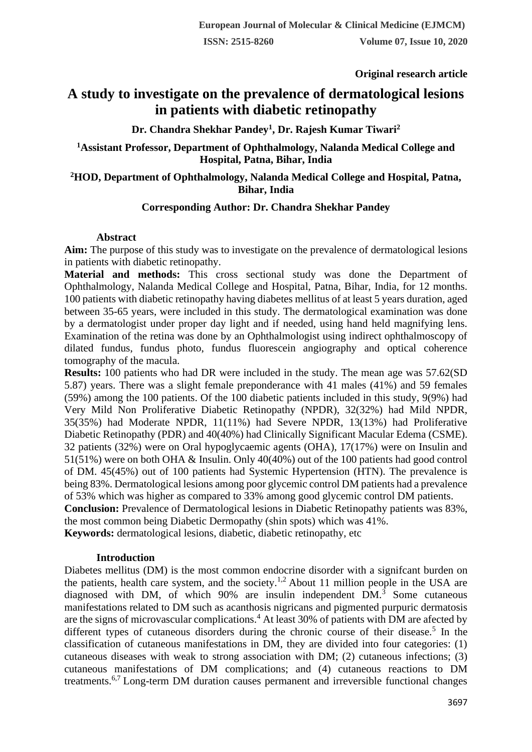**Original research article** 

# **A study to investigate on the prevalence of dermatological lesions in patients with diabetic retinopathy**

**Dr. Chandra Shekhar Pandey<sup>1</sup> , Dr. Rajesh Kumar Tiwari<sup>2</sup>**

**<sup>1</sup>Assistant Professor, Department of Ophthalmology, Nalanda Medical College and Hospital, Patna, Bihar, India**

# **<sup>2</sup>HOD, Department of Ophthalmology, Nalanda Medical College and Hospital, Patna, Bihar, India**

# **Corresponding Author: Dr. Chandra Shekhar Pandey**

# **Abstract**

**Aim:** The purpose of this study was to investigate on the prevalence of dermatological lesions in patients with diabetic retinopathy.

**Material and methods:** This cross sectional study was done the Department of Ophthalmology, Nalanda Medical College and Hospital, Patna, Bihar, India, for 12 months. 100 patients with diabetic retinopathy having diabetes mellitus of at least 5 years duration, aged between 35-65 years, were included in this study. The dermatological examination was done by a dermatologist under proper day light and if needed, using hand held magnifying lens. Examination of the retina was done by an Ophthalmologist using indirect ophthalmoscopy of dilated fundus, fundus photo, fundus fluorescein angiography and optical coherence tomography of the macula.

**Results:** 100 patients who had DR were included in the study. The mean age was 57.62(SD 5.87) years. There was a slight female preponderance with 41 males (41%) and 59 females (59%) among the 100 patients. Of the 100 diabetic patients included in this study, 9(9%) had Very Mild Non Proliferative Diabetic Retinopathy (NPDR), 32(32%) had Mild NPDR, 35(35%) had Moderate NPDR, 11(11%) had Severe NPDR, 13(13%) had Proliferative Diabetic Retinopathy (PDR) and 40(40%) had Clinically Significant Macular Edema (CSME). 32 patients (32%) were on Oral hypoglycaemic agents (OHA), 17(17%) were on Insulin and 51(51%) were on both OHA & Insulin. Only 40(40%) out of the 100 patients had good control of DM. 45(45%) out of 100 patients had Systemic Hypertension (HTN). The prevalence is being 83%. Dermatological lesions among poor glycemic control DM patients had a prevalence of 53% which was higher as compared to 33% among good glycemic control DM patients.

**Conclusion:** Prevalence of Dermatological lesions in Diabetic Retinopathy patients was 83%, the most common being Diabetic Dermopathy (shin spots) which was 41%.

**Keywords:** dermatological lesions, diabetic, diabetic retinopathy, etc

## **Introduction**

Diabetes mellitus (DM) is the most common endocrine disorder with a signifcant burden on the patients, health care system, and the society.<sup>1,2</sup> About 11 million people in the USA are diagnosed with DM, of which 90% are insulin independent DM.<sup>3</sup> Some cutaneous manifestations related to DM such as acanthosis nigricans and pigmented purpuric dermatosis are the signs of microvascular complications.<sup>4</sup> At least 30% of patients with DM are afected by different types of cutaneous disorders during the chronic course of their disease.<sup>5</sup> In the classification of cutaneous manifestations in DM, they are divided into four categories: (1) cutaneous diseases with weak to strong association with DM; (2) cutaneous infections; (3) cutaneous manifestations of DM complications; and (4) cutaneous reactions to DM treatments.<sup>6,7</sup> Long-term DM duration causes permanent and irreversible functional changes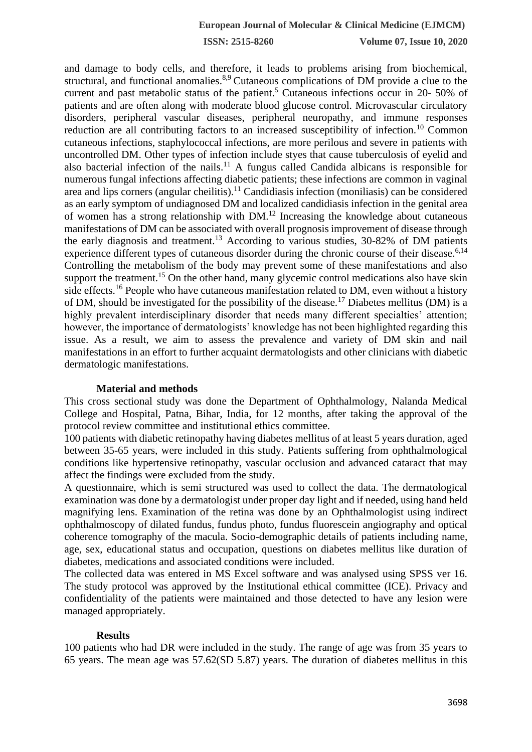**ISSN: 2515-8260 Volume 07, Issue 10, 2020**

and damage to body cells, and therefore, it leads to problems arising from biochemical, structural, and functional anomalies.<sup>8,9</sup> Cutaneous complications of DM provide a clue to the current and past metabolic status of the patient.<sup>5</sup> Cutaneous infections occur in 20- 50% of patients and are often along with moderate blood glucose control. Microvascular circulatory disorders, peripheral vascular diseases, peripheral neuropathy, and immune responses reduction are all contributing factors to an increased susceptibility of infection.<sup>10</sup> Common cutaneous infections, staphylococcal infections, are more perilous and severe in patients with uncontrolled DM. Other types of infection include styes that cause tuberculosis of eyelid and also bacterial infection of the nails.<sup>11</sup> A fungus called Candida albicans is responsible for numerous fungal infections affecting diabetic patients; these infections are common in vaginal area and lips corners (angular cheilitis).<sup>11</sup> Candidiasis infection (moniliasis) can be considered as an early symptom of undiagnosed DM and localized candidiasis infection in the genital area of women has a strong relationship with DM.<sup>12</sup> Increasing the knowledge about cutaneous manifestations of DM can be associated with overall prognosis improvement of disease through the early diagnosis and treatment.<sup>13</sup> According to various studies, 30-82% of DM patients experience different types of cutaneous disorder during the chronic course of their disease.<sup>6,14</sup> Controlling the metabolism of the body may prevent some of these manifestations and also support the treatment.<sup>15</sup> On the other hand, many glycemic control medications also have skin side effects.<sup>16</sup> People who have cutaneous manifestation related to DM, even without a history of DM, should be investigated for the possibility of the disease.<sup>17</sup> Diabetes mellitus (DM) is a highly prevalent interdisciplinary disorder that needs many different specialties' attention; however, the importance of dermatologists' knowledge has not been highlighted regarding this issue. As a result, we aim to assess the prevalence and variety of DM skin and nail manifestations in an effort to further acquaint dermatologists and other clinicians with diabetic dermatologic manifestations.

#### **Material and methods**

This cross sectional study was done the Department of Ophthalmology, Nalanda Medical College and Hospital, Patna, Bihar, India, for 12 months, after taking the approval of the protocol review committee and institutional ethics committee.

100 patients with diabetic retinopathy having diabetes mellitus of at least 5 years duration, aged between 35-65 years, were included in this study. Patients suffering from ophthalmological conditions like hypertensive retinopathy, vascular occlusion and advanced cataract that may affect the findings were excluded from the study.

A questionnaire, which is semi structured was used to collect the data. The dermatological examination was done by a dermatologist under proper day light and if needed, using hand held magnifying lens. Examination of the retina was done by an Ophthalmologist using indirect ophthalmoscopy of dilated fundus, fundus photo, fundus fluorescein angiography and optical coherence tomography of the macula. Socio-demographic details of patients including name, age, sex, educational status and occupation, questions on diabetes mellitus like duration of diabetes, medications and associated conditions were included.

The collected data was entered in MS Excel software and was analysed using SPSS ver 16. The study protocol was approved by the Institutional ethical committee (ICE). Privacy and confidentiality of the patients were maintained and those detected to have any lesion were managed appropriately.

#### **Results**

100 patients who had DR were included in the study. The range of age was from 35 years to 65 years. The mean age was 57.62(SD 5.87) years. The duration of diabetes mellitus in this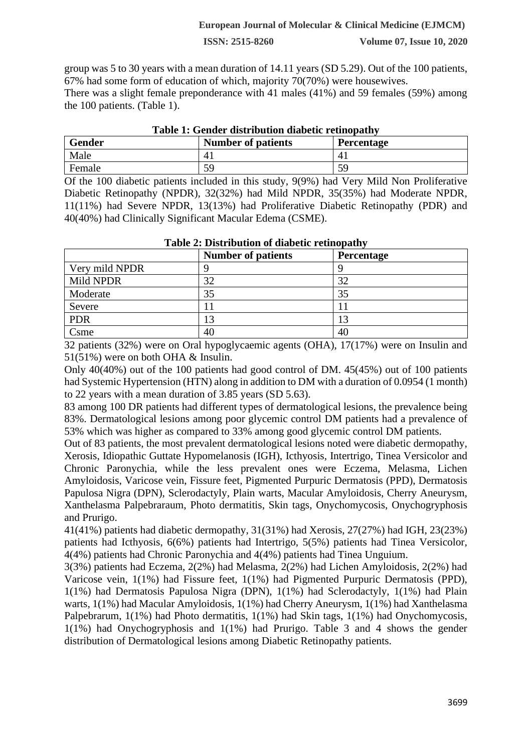#### **European Journal of Molecular & Clinical Medicine (EJMCM)**

**ISSN: 2515-8260 Volume 07, Issue 10, 2020**

group was 5 to 30 years with a mean duration of 14.11 years (SD 5.29). Out of the 100 patients, 67% had some form of education of which, majority 70(70%) were housewives. There was a slight female preponderance with 41 males (41%) and 59 females (59%) among

the 100 patients. (Table 1).

| <b>Gender</b> | <b>Number of patients</b> | <b>Percentage</b> |
|---------------|---------------------------|-------------------|
| Male          | 4.                        |                   |
| Female        | 59                        | 59                |

# **Table 1: Gender distribution diabetic retinopathy**

Of the 100 diabetic patients included in this study, 9(9%) had Very Mild Non Proliferative Diabetic Retinopathy (NPDR), 32(32%) had Mild NPDR, 35(35%) had Moderate NPDR, 11(11%) had Severe NPDR, 13(13%) had Proliferative Diabetic Retinopathy (PDR) and 40(40%) had Clinically Significant Macular Edema (CSME).

| Table 2: Distribution of diabelly rethiopathy |                           |                   |  |  |
|-----------------------------------------------|---------------------------|-------------------|--|--|
|                                               | <b>Number of patients</b> | <b>Percentage</b> |  |  |
| Very mild NPDR                                |                           |                   |  |  |
| Mild NPDR                                     | 32                        | 32                |  |  |
| Moderate                                      | 35                        | 35                |  |  |
| Severe                                        |                           |                   |  |  |
| <b>PDR</b>                                    | 13                        | 13                |  |  |
| Csme                                          | 40                        | 40                |  |  |

**Table 2: Distribution of diabetic retinopathy**

32 patients (32%) were on Oral hypoglycaemic agents (OHA), 17(17%) were on Insulin and 51(51%) were on both OHA & Insulin.

Only 40(40%) out of the 100 patients had good control of DM. 45(45%) out of 100 patients had Systemic Hypertension (HTN) along in addition to DM with a duration of 0.0954 (1 month) to 22 years with a mean duration of 3.85 years (SD 5.63).

83 among 100 DR patients had different types of dermatological lesions, the prevalence being 83%. Dermatological lesions among poor glycemic control DM patients had a prevalence of 53% which was higher as compared to 33% among good glycemic control DM patients.

Out of 83 patients, the most prevalent dermatological lesions noted were diabetic dermopathy, Xerosis, Idiopathic Guttate Hypomelanosis (IGH), Icthyosis, Intertrigo, Tinea Versicolor and Chronic Paronychia, while the less prevalent ones were Eczema, Melasma, Lichen Amyloidosis, Varicose vein, Fissure feet, Pigmented Purpuric Dermatosis (PPD), Dermatosis Papulosa Nigra (DPN), Sclerodactyly, Plain warts, Macular Amyloidosis, Cherry Aneurysm, Xanthelasma Palpebraraum, Photo dermatitis, Skin tags, Onychomycosis, Onychogryphosis and Prurigo.

41(41%) patients had diabetic dermopathy, 31(31%) had Xerosis, 27(27%) had IGH, 23(23%) patients had Icthyosis, 6(6%) patients had Intertrigo, 5(5%) patients had Tinea Versicolor, 4(4%) patients had Chronic Paronychia and 4(4%) patients had Tinea Unguium.

3(3%) patients had Eczema, 2(2%) had Melasma, 2(2%) had Lichen Amyloidosis, 2(2%) had Varicose vein, 1(1%) had Fissure feet, 1(1%) had Pigmented Purpuric Dermatosis (PPD), 1(1%) had Dermatosis Papulosa Nigra (DPN), 1(1%) had Sclerodactyly, 1(1%) had Plain warts, 1(1%) had Macular Amyloidosis, 1(1%) had Cherry Aneurysm, 1(1%) had Xanthelasma Palpebrarum, 1(1%) had Photo dermatitis, 1(1%) had Skin tags, 1(1%) had Onychomycosis, 1(1%) had Onychogryphosis and 1(1%) had Prurigo. Table 3 and 4 shows the gender distribution of Dermatological lesions among Diabetic Retinopathy patients.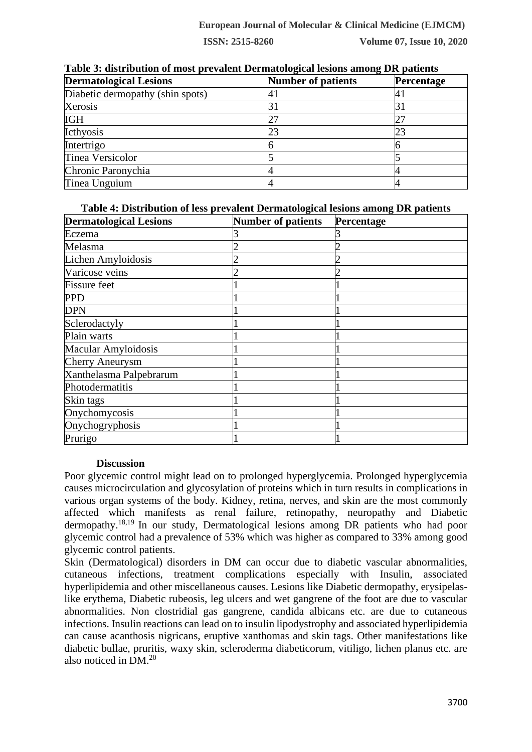| <b>Dermatological Lesions</b>    | <b>Number of patients</b> | <b>Percentage</b> |
|----------------------------------|---------------------------|-------------------|
| Diabetic dermopathy (shin spots) |                           |                   |
| Xerosis                          |                           |                   |
| <b>IGH</b>                       |                           |                   |
| Icthyosis                        | 23                        | 23                |
| Intertrigo                       |                           |                   |
| Tinea Versicolor                 |                           |                   |
| Chronic Paronychia               |                           |                   |
| Tinea Unguium                    |                           |                   |

**Table 3: distribution of most prevalent Dermatological lesions among DR patients**

**Table 4: Distribution of less prevalent Dermatological lesions among DR patients**

| <b>Dermatological Lesions</b> | <b>Number of patients</b> | Percentage |
|-------------------------------|---------------------------|------------|
| Eczema                        |                           |            |
| Melasma                       |                           |            |
| Lichen Amyloidosis            |                           |            |
| Varicose veins                |                           |            |
| <b>Fissure</b> feet           |                           |            |
| <b>PPD</b>                    |                           |            |
| <b>DPN</b>                    |                           |            |
| Sclerodactyly                 |                           |            |
| Plain warts                   |                           |            |
| Macular Amyloidosis           |                           |            |
| <b>Cherry Aneurysm</b>        |                           |            |
| Xanthelasma Palpebrarum       |                           |            |
| Photodermatitis               |                           |            |
| Skin tags                     |                           |            |
| Onychomycosis                 |                           |            |
| Onychogryphosis               |                           |            |
| Prurigo                       |                           |            |

## **Discussion**

Poor glycemic control might lead on to prolonged hyperglycemia. Prolonged hyperglycemia causes microcirculation and glycosylation of proteins which in turn results in complications in various organ systems of the body. Kidney, retina, nerves, and skin are the most commonly affected which manifests as renal failure, retinopathy, neuropathy and Diabetic dermopathy.18,19 In our study, Dermatological lesions among DR patients who had poor glycemic control had a prevalence of 53% which was higher as compared to 33% among good glycemic control patients.

Skin (Dermatological) disorders in DM can occur due to diabetic vascular abnormalities, cutaneous infections, treatment complications especially with Insulin, associated hyperlipidemia and other miscellaneous causes. Lesions like Diabetic dermopathy, erysipelaslike erythema, Diabetic rubeosis, leg ulcers and wet gangrene of the foot are due to vascular abnormalities. Non clostridial gas gangrene, candida albicans etc. are due to cutaneous infections. Insulin reactions can lead on to insulin lipodystrophy and associated hyperlipidemia can cause acanthosis nigricans, eruptive xanthomas and skin tags. Other manifestations like diabetic bullae, pruritis, waxy skin, scleroderma diabeticorum, vitiligo, lichen planus etc. are also noticed in DM.<sup>20</sup>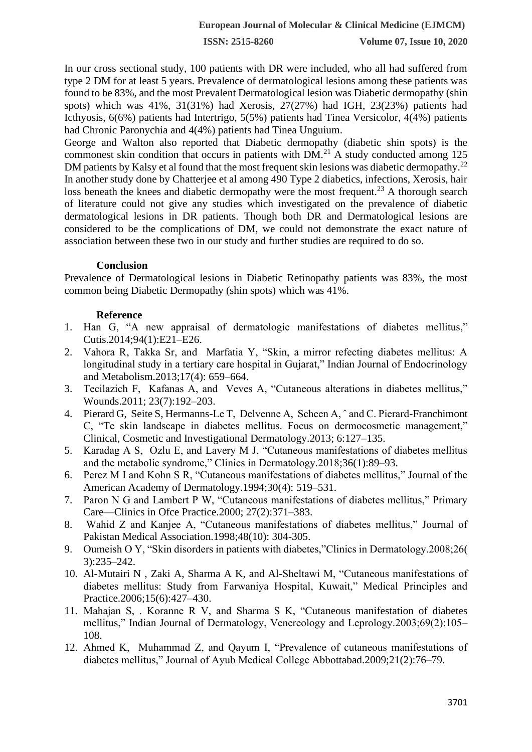In our cross sectional study, 100 patients with DR were included, who all had suffered from type 2 DM for at least 5 years. Prevalence of dermatological lesions among these patients was found to be 83%, and the most Prevalent Dermatological lesion was Diabetic dermopathy (shin spots) which was 41%, 31(31%) had Xerosis, 27(27%) had IGH, 23(23%) patients had Icthyosis, 6(6%) patients had Intertrigo, 5(5%) patients had Tinea Versicolor, 4(4%) patients had Chronic Paronychia and 4(4%) patients had Tinea Unguium.

George and Walton also reported that Diabetic dermopathy (diabetic shin spots) is the commonest skin condition that occurs in patients with  $DM<sup>21</sup>$  A study conducted among 125 DM patients by Kalsy et al found that the most frequent skin lesions was diabetic dermopathy.<sup>22</sup> In another study done by Chatterjee et al among 490 Type 2 diabetics, infections, Xerosis, hair loss beneath the knees and diabetic dermopathy were the most frequent.<sup>23</sup> A thorough search of literature could not give any studies which investigated on the prevalence of diabetic dermatological lesions in DR patients. Though both DR and Dermatological lesions are considered to be the complications of DM, we could not demonstrate the exact nature of association between these two in our study and further studies are required to do so.

## **Conclusion**

Prevalence of Dermatological lesions in Diabetic Retinopathy patients was 83%, the most common being Diabetic Dermopathy (shin spots) which was 41%.

# **Reference**

- 1. Han G, "A new appraisal of dermatologic manifestations of diabetes mellitus," Cutis.2014;94(1):E21–E26.
- 2. Vahora R, Takka Sr, and Marfatia Y, "Skin, a mirror refecting diabetes mellitus: A longitudinal study in a tertiary care hospital in Gujarat," Indian Journal of Endocrinology and Metabolism.2013;17(4): 659–664.
- 3. Tecilazich F, Kafanas A, and Veves A, "Cutaneous alterations in diabetes mellitus," Wounds.2011; 23(7):192–203.
- 4. Pierard G, Seite S, Hermanns-Le T, Delvenne A, Scheen A, ˆ and C. Pierard-Franchimont C, "Te skin landscape in diabetes mellitus. Focus on dermocosmetic management," Clinical, Cosmetic and Investigational Dermatology.2013; 6:127–135.
- 5. Karadag A S, Ozlu E, and Lavery M J, "Cutaneous manifestations of diabetes mellitus and the metabolic syndrome," Clinics in Dermatology.2018;36(1):89–93.
- 6. Perez M I and Kohn S R, "Cutaneous manifestations of diabetes mellitus," Journal of the American Academy of Dermatology.1994;30(4): 519–531.
- 7. Paron N G and Lambert P W, "Cutaneous manifestations of diabetes mellitus," Primary Care—Clinics in Ofce Practice.2000; 27(2):371–383.
- 8. Wahid Z and Kanjee A, "Cutaneous manifestations of diabetes mellitus," Journal of Pakistan Medical Association.1998;48(10): 304-305.
- 9. Oumeish O Y, "Skin disorders in patients with diabetes,"Clinics in Dermatology.2008;26( 3):235–242.
- 10. Al-Mutairi N , Zaki A, Sharma A K, and Al-Sheltawi M, "Cutaneous manifestations of diabetes mellitus: Study from Farwaniya Hospital, Kuwait," Medical Principles and Practice.2006;15(6):427–430.
- 11. Mahajan S, . Koranne R V, and Sharma S K, "Cutaneous manifestation of diabetes mellitus," Indian Journal of Dermatology, Venereology and Leprology.2003;69(2):105– 108.
- 12. Ahmed K, Muhammad Z, and Qayum I, "Prevalence of cutaneous manifestations of diabetes mellitus," Journal of Ayub Medical College Abbottabad.2009;21(2):76–79.